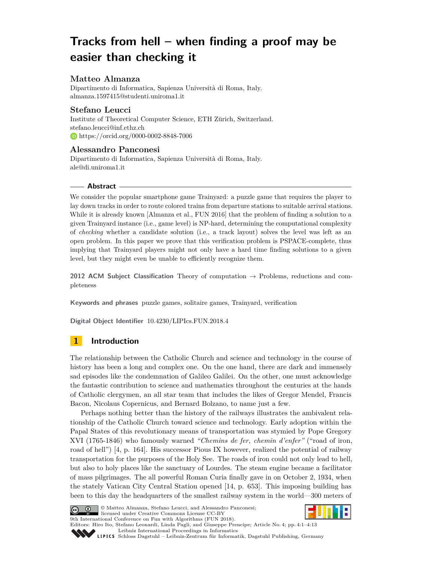# **Tracks from hell – when finding a proof may be easier than checking it**

# **Matteo Almanza**

Dipartimento di Informatica, Sapienza Università di Roma, Italy. [almanza.1597415@studenti.uniroma1.it](mailto:almanza.1597415@studenti.uniroma1.it)

# **Stefano Leucci**

Institute of Theoretical Computer Science, ETH Zürich, Switzerland. [stefano.leucci@inf.ethz.ch](mailto:stefano.leucci@inf.ethz.ch) <https://orcid.org/0000-0002-8848-7006>

# **Alessandro Panconesi**

Dipartimento di Informatica, Sapienza Università di Roma, Italy. [ale@di.uniroma1.it](mailto:ale@di.uniroma1.it)

# **Abstract**

We consider the popular smartphone game Trainyard: a puzzle game that requires the player to lay down tracks in order to route colored trains from departure stations to suitable arrival stations. While it is already known [Almanza et al., FUN 2016] that the problem of finding a solution to a given Trainyard instance (i.e., game level) is NP-hard, determining the computational complexity of *checking* whether a candidate solution (i.e., a track layout) solves the level was left as an open problem. In this paper we prove that this verification problem is PSPACE-complete, thus implying that Trainyard players might not only have a hard time finding solutions to a given level, but they might even be unable to efficiently recognize them.

**2012 ACM Subject Classification** Theory of computation → Problems, reductions and completeness

**Keywords and phrases** puzzle games, solitaire games, Trainyard, verification

**Digital Object Identifier** [10.4230/LIPIcs.FUN.2018.4](http://dx.doi.org/10.4230/LIPIcs.FUN.2018.4)

# **1 Introduction**

The relationship between the Catholic Church and science and technology in the course of history has been a long and complex one. On the one hand, there are dark and immensely sad episodes like the condemnation of Galileo Galilei. On the other, one must acknowledge the fantastic contribution to science and mathematics throughout the centuries at the hands of Catholic clergymen, an all star team that includes the likes of Gregor Mendel, Francis Bacon, Nicolaus Copernicus, and Bernard Bolzano, to name just a few.

Perhaps nothing better than the history of the railways illustrates the ambivalent relationship of the Catholic Church toward science and technology. Early adoption within the Papal States of this revolutionary means of transportation was stymied by Pope Gregory XVI (1765-1846) who famously warned *"Chemins de fer, chemin d'enfer"* ("road of iron, road of hell") [\[4,](#page-11-0) p. 164]. His successor Pious IX however, realized the potential of railway transportation for the purposes of the Holy See. The roads of iron could not only lead to hell, but also to holy places like the sanctuary of Lourdes. The steam engine became a facilitator of mass pilgrimages. The all powerful Roman Curia finally gave in on October 2, 1934, when the stately Vatican City Central Station opened [\[14,](#page-12-0) p. 653]. This imposing building has been to this day the headquarters of the smallest railway system in the world—300 meters of



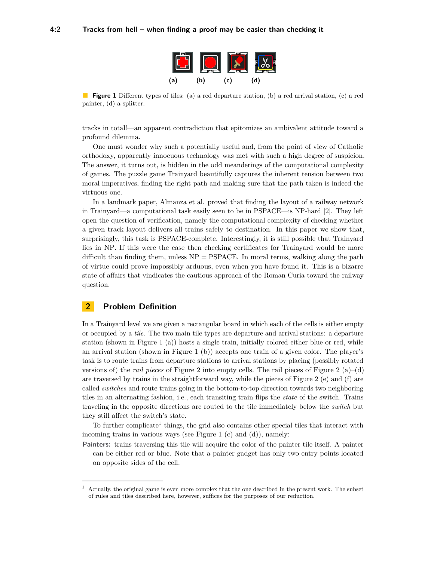<span id="page-1-0"></span>

**Figure 1** Different types of tiles: (a) a red departure station, (b) a red arrival station, (c) a red painter, (d) a splitter.

tracks in total!—an apparent contradiction that epitomizes an ambivalent attitude toward a profound dilemma.

One must wonder why such a potentially useful and, from the point of view of Catholic orthodoxy, apparently innocuous technology was met with such a high degree of suspicion. The answer, it turns out, is hidden in the odd meanderings of the computational complexity of games. The puzzle game Trainyard beautifully captures the inherent tension between two moral imperatives, finding the right path and making sure that the path taken is indeed the virtuous one.

In a landmark paper, Almanza et al. proved that finding the layout of a railway network in Trainyard—a computational task easily seen to be in PSPACE—is NP-hard [\[2\]](#page-11-1). They left open the question of verification, namely the computational complexity of checking whether a given track layout delivers all trains safely to destination. In this paper we show that, surprisingly, this task is PSPACE-complete. Interestingly, it is still possible that Trainyard lies in NP. If this were the case then checking certificates for Trainyard would be more difficult than finding them, unless  $NP = PSPACE$ . In moral terms, walking along the path of virtue could prove impossibly arduous, even when you have found it. This is a bizarre state of affairs that vindicates the cautious approach of the Roman Curia toward the railway question.

#### **2 Problem Definition**

In a Trainyard level we are given a rectangular board in which each of the cells is either empty or occupied by a *tile*. The two main tile types are departure and arrival stations: a departure station (shown in Figure [1](#page-1-0) (a)) hosts a single train, initially colored either blue or red, while an arrival station (shown in Figure [1](#page-1-0) (b)) accepts one train of a given color. The player's task is to route trains from departure stations to arrival stations by placing (possibly rotated versions of) the *rail pieces* of Figure [2](#page-2-0) into empty cells. The rail pieces of Figure 2  $(a)$ – $(d)$ are traversed by trains in the straightforward way, while the pieces of Figure [2](#page-2-0) (e) and (f) are called *switches* and route trains going in the bottom-to-top direction towards two neighboring tiles in an alternating fashion, i.e., each transiting train flips the *state* of the switch. Trains traveling in the opposite directions are routed to the tile immediately below the *switch* but they still affect the switch's state.

To further complicate<sup>[1](#page-1-1)</sup> things, the grid also contains other special tiles that interact with incoming trains in various ways (see Figure [1](#page-1-0) (c) and (d)), namely:

**Painters:** trains traversing this tile will acquire the color of the painter tile itself. A painter can be either red or blue. Note that a painter gadget has only two entry points located on opposite sides of the cell.

<span id="page-1-1"></span><sup>1</sup> Actually, the original game is even more complex that the one described in the present work. The subset of rules and tiles described here, however, suffices for the purposes of our reduction.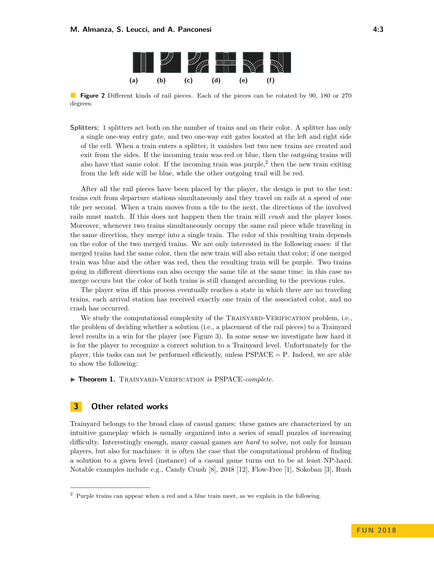

<span id="page-2-0"></span>**Figure 2** Different kinds of rail pieces. Each of the pieces can be rotated by 90, 180 or 270 degrees.

**Splitters:** 1 splitters act both on the number of trains and on their color. A splitter has only a single one-way entry gate, and two one-way exit gates located at the left and right side of the cell. When a train enters a splitter, it vanishes but two new trains are created and exit from the sides. If the incoming train was red or blue, then the outgoing trains will also have that same color. If the incoming train was purple,<sup>[2](#page-2-1)</sup> then the new train exiting from the left side will be blue, while the other outgoing trail will be red.

After all the rail pieces have been placed by the player, the design is put to the test: trains exit from departure stations simultaneously and they travel on rails at a speed of one tile per second. When a train moves from a tile to the next, the directions of the involved rails must match. If this does not happen then the train will *crash* and the player loses. Moreover, whenever two trains simultaneously occupy the same rail piece while traveling in the same direction, they merge into a single train. The color of this resulting train depends on the color of the two merged trains. We are only interested in the following cases: if the merged trains had the same color, then the new train will also retain that color; if one merged train was blue and the other was red, then the resulting train will be purple. Two trains going in different directions can also occupy the same tile at the same time: in this case no merge occurs but the color of both trains is still changed according to the previous rules.

The player wins iff this process eventually reaches a state in which there are no traveling trains, each arrival station has received exactly one train of the associated color, and no crash has occurred.

We study the computational complexity of the TRAINYARD-VERIFICATION problem, i.e., the problem of deciding whether a solution (i.e., a placement of the rail pieces) to a Trainyard level results in a win for the player (see Figure [3\)](#page-3-0). In some sense we investigate how hard it is for the player to recognize a correct solution to a Trainyard level. Unfortunately for the player, this tasks can not be performed efficiently, unless  $PSPACE = P$ . Indeed, we are able to show the following:

**Fineorem 1.** TRAINYARD-VERIFICATION *is* PSPACE-complete.

### **3 Other related works**

Trainyard belongs to the broad class of casual games: these games are characterized by an intuitive gameplay which is usually organized into a series of small puzzles of increasing difficulty. Interestingly enough, many casual games are *hard* to solve, not only for human players, but also for machines: it is often the case that the computational problem of finding a solution to a given level (instance) of a casual game turns out to be at least NP-hard. Notable examples include e.g., Candy Crush [\[8\]](#page-12-2), 2048 [\[12\]](#page-12-3), Flow-Free [\[1\]](#page-11-2), Sokoban [\[3\]](#page-11-3), Rush

<span id="page-2-1"></span><sup>2</sup> Purple trains can appear when a red and a blue train meet, as we explain in the following.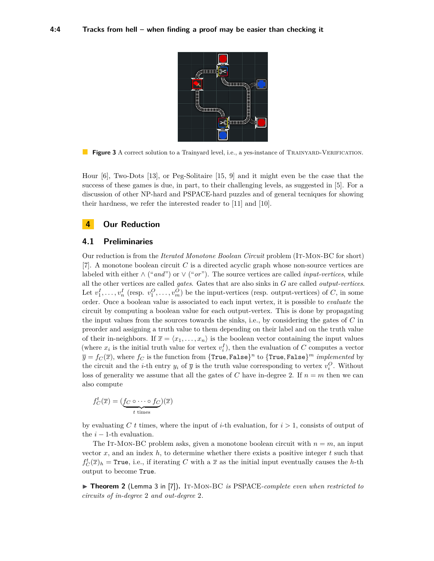<span id="page-3-0"></span>

**Figure 3** A correct solution to a Trainyard level, i.e., a yes-instance of TRAINYARD-VERIFICATION.

Hour [\[6\]](#page-11-4), Two-Dots [\[13\]](#page-12-4), or Peg-Solitaire [\[15,](#page-12-5) [9\]](#page-12-6) and it might even be the case that the success of these games is due, in part, to their challenging levels, as suggested in [\[5\]](#page-11-5). For a discussion of other NP-hard and PSPACE-hard puzzles and of general tecniques for showing their hardness, we refer the interested reader to [\[11\]](#page-12-7) and [\[10\]](#page-12-8).

#### **4 Our Reduction**

#### **4.1 Preliminaries**

Our reduction is from the *Iterated Monotone Boolean Circuit* problem (It-Mon-BC for short) [\[7\]](#page-11-6). A monotone boolean circuit *C* is a directed acyclic graph whose non-source vertices are labeled with either ∧ ("*and*") or ∨ ("*or*"). The source vertices are called *input-vertices*, while all the other vertices are called *gates*. Gates that are also sinks in *G* are called *output-vertices*. Let  $v_1^I, \ldots, v_n^I$  (resp.  $v_1^O, \ldots, v_m^O$ ) be the input-vertices (resp. output-vertices) of *C*, in some order. Once a boolean value is associated to each input vertex, it is possible to *evaluate* the circuit by computing a boolean value for each output-vertex. This is done by propagating the input values from the sources towards the sinks, i.e., by considering the gates of *C* in preorder and assigning a truth value to them depending on their label and on the truth value of their in-neighbors. If  $\bar{x} = \langle x_1, \ldots, x_n \rangle$  is the boolean vector containing the input values (where  $x_i$  is the initial truth value for vertex  $v_i^I$ ), then the evaluation of *C* computes a vector  $\overline{y} = f_C(\overline{x})$ , where  $f_C$  is the function from  $\{\texttt{True}, \texttt{False}\}^n$  to  $\{\texttt{True}, \texttt{False}\}^m$  *implemented* by the circuit and the *i*-th entry  $y_i$  of  $\overline{y}$  is the truth value corresponding to vertex  $v_i^O$ . Without loss of generality we assume that all the gates of *C* have in-degree 2. If  $n = m$  then we can also compute

$$
f_C^t(\overline{x}) = (\underbrace{f_C \circ \cdots \circ f_C}_{t \text{ times}})(\overline{x})
$$

by evaluating *C t* times, where the input of *i*-th evaluation, for *i >* 1, consists of output of the  $i - 1$ -th evaluation.

The IT-MON-BC problem asks, given a monotone boolean circuit with  $n = m$ , an input vector  $x$ , and an index  $h$ , to determine whether there exists a positive integer  $t$  such that  $f_C^t(\overline{x})_h$  = True, i.e., if iterating *C* with a  $\overline{x}$  as the initial input eventually causes the *h*-th output to become True.

▶ Theorem 2 (Lemma 3 in [\[7\]](#page-11-6)). IT-MON-BC *is* PSPACE-complete even when restricted to *circuits of in-degree* 2 *and out-degree* 2*.*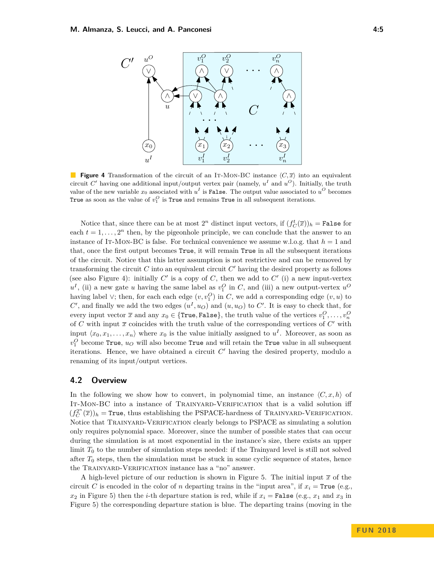<span id="page-4-0"></span>

**Figure 4** Transformation of the circuit of an IT-MON-BC instance  $\langle C, \overline{x} \rangle$  into an equivalent circuit  $C'$  having one additional input/output vertex pair (namely,  $u^I$  and  $u^O$ ). Initially, the truth value of the new variable  $x_0$  associated with  $u^I$  is False. The output value associated to  $u^O$  becomes True as soon as the value of  $v_1^O$  is True and remains True in all subsequent iterations.

Notice that, since there can be at most  $2^n$  distinct input vectors, if  $(f_C^t(\overline{x}))_h = \texttt{False}$  for each  $t = 1, \ldots, 2<sup>n</sup>$  then, by the pigeonhole principle, we can conclude that the answer to an instance of IT-MON-BC is false. For technical convenience we assume w.l.o.g. that  $h = 1$  and that, once the first output becomes True, it will remain True in all the subsequent iterations of the circuit. Notice that this latter assumption is not restrictive and can be removed by transforming the circuit  $C$  into an equivalent circuit  $C'$  having the desired property as follows (see also Figure [4\)](#page-4-0): initially  $C'$  is a copy of  $C$ , then we add to  $C'$  (i) a new input-vertex  $u^I$ , (ii) a new gate *u* having the same label as  $v_1^O$  in *C*, and (iii) a new output-vertex  $u^O$ having label  $\vee$ ; then, for each each edge  $(v, v_1^O)$  in *C*, we add a corresponding edge  $(v, u)$  to  $C'$ , and finally we add the two edges  $(u^I, u_O)$  and  $(u, u_O)$  to  $C'$ . It is easy to check that, for every input vector  $\overline{x}$  and any  $x_0 \in \{ \texttt{True}, \texttt{False} \}$ , the truth value of the vertices  $v_1^O, \ldots, v_n^O$ of  $C$  with input  $\bar{x}$  coincides with the truth value of the corresponding vertices of  $C'$  with input  $\langle x_0, x_1, \ldots, x_n \rangle$  where  $x_0$  is the value initially assigned to  $u^I$ . Moreover, as soon as  $v_1^O$  become True,  $u_O$  will also become True and will retain the True value in all subsequent iterations. Hence, we have obtained a circuit  $C'$  having the desired property, modulo a renaming of its input/output vertices.

#### **4.2 Overview**

In the following we show how to convert, in polynomial time, an instance  $\langle C, x, h \rangle$  of IT-MON-BC into a instance of TRAINYARD-VERIFICATION that is a valid solution iff  $(f_C^{2^n}(\overline{x}))_h$  = True, thus establishing the PSPACE-hardness of TRAINYARD-VERIFICATION. Notice that Trainyard-Verification clearly belongs to PSPACE as simulating a solution only requires polynomial space. Moreover, since the number of possible states that can occur during the simulation is at most exponential in the instance's size, there exists an upper limit  $T_0$  to the number of simulation steps needed: if the Trainyard level is still not solved after *T*<sup>0</sup> steps, then the simulation must be stuck in some cyclic sequence of states, hence the Trainyard-Verification instance has a "no" answer.

A high-level picture of our reduction is shown in Figure [5.](#page-5-0) The initial input  $\bar{x}$  of the circuit *C* is encoded in the color of *n* departing trains in the "input area", if  $x_i = \text{True}$  (e.g.,  $x_2$  in Figure [5\)](#page-5-0) then the *i*-th departure station is red, while if  $x_i$  = False (e.g.,  $x_1$  and  $x_3$  in Figure [5\)](#page-5-0) the corresponding departure station is blue. The departing trains (moving in the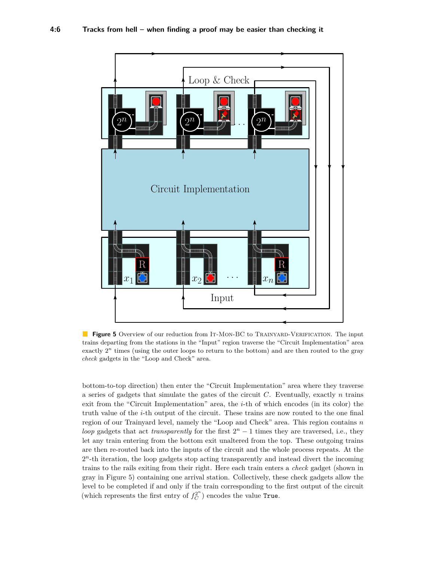<span id="page-5-0"></span>

**Figure 5** Overview of our reduction from IT-MON-BC to TRAINYARD-VERIFICATION. The input trains departing from the stations in the "Input" region traverse the "Circuit Implementation" area exactly  $2<sup>n</sup>$  times (using the outer loops to return to the bottom) and are then routed to the gray *check* gadgets in the "Loop and Check" area.

bottom-to-top direction) then enter the "Circuit Implementation" area where they traverse a series of gadgets that simulate the gates of the circuit *C*. Eventually, exactly *n* trains exit from the "Circuit Implementation" area, the *i*-th of which encodes (in its color) the truth value of the *i*-th output of the circuit. These trains are now routed to the one final region of our Trainyard level, namely the "Loop and Check" area. This region contains *n loop* gadgets that act *transparently* for the first  $2^n - 1$  times they are traversed, i.e., they let any train entering from the bottom exit unaltered from the top. These outgoing trains are then re-routed back into the inputs of the circuit and the whole process repeats. At the 2<sup>n</sup>-th iteration, the loop gadgets stop acting transparently and instead divert the incoming trains to the rails exiting from their right. Here each train enters a *check* gadget (shown in gray in Figure [5\)](#page-5-0) containing one arrival station. Collectively, these check gadgets allow the level to be completed if and only if the train corresponding to the first output of the circuit (which represents the first entry of  $f_C^{2^n}$ ) encodes the value True.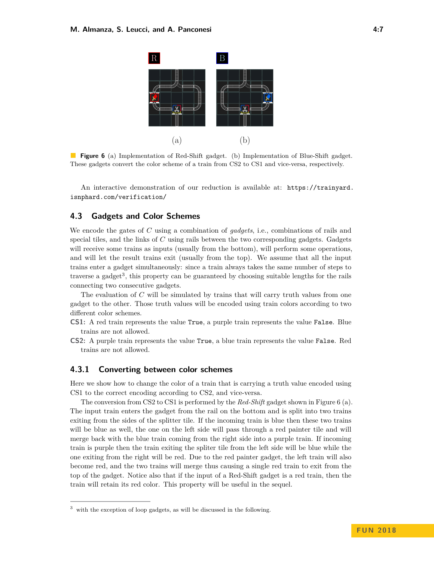<span id="page-6-1"></span>

**Figure 6** (a) Implementation of Red-Shift gadget. (b) Implementation of Blue-Shift gadget. These gadgets convert the color scheme of a train from CS2 to CS1 and vice-versa, respectively.

An interactive demonstration of our reduction is available at: [https://trainyard.](https://trainyard.isnphard.com/verification/) [isnphard.com/verification/](https://trainyard.isnphard.com/verification/)

# **4.3 Gadgets and Color Schemes**

We encode the gates of *C* using a combination of *gadgets*, i.e., combinations of rails and special tiles, and the links of *C* using rails between the two corresponding gadgets. Gadgets will receive some trains as inputs (usually from the bottom), will perform some operations, and will let the result trains exit (usually from the top). We assume that all the input trains enter a gadget simultaneously: since a train always takes the same number of steps to traverse a gadget<sup>[3](#page-6-0)</sup>, this property can be guaranteed by choosing suitable lengths for the rails connecting two consecutive gadgets.

The evaluation of *C* will be simulated by trains that will carry truth values from one gadget to the other. Those truth values will be encoded using train colors according to two different color schemes.

- **CS1:** A red train represents the value True, a purple train represents the value False. Blue trains are not allowed.
- **CS2:** A purple train represents the value True, a blue train represents the value False. Red trains are not allowed.

#### **4.3.1 Converting between color schemes**

Here we show how to change the color of a train that is carrying a truth value encoded using CS1 to the correct encoding according to CS2, and vice-versa.

The conversion from CS2 to CS1 is performed by the *Red-Shift* gadget shown in Figure [6](#page-6-1) (a). The input train enters the gadget from the rail on the bottom and is split into two trains exiting from the sides of the splitter tile. If the incoming train is blue then these two trains will be blue as well, the one on the left side will pass through a red painter tile and will merge back with the blue train coming from the right side into a purple train. If incoming train is purple then the train exiting the spliter tile from the left side will be blue while the one exiting from the right will be red. Due to the red painter gadget, the left train will also become red, and the two trains will merge thus causing a single red train to exit from the top of the gadget. Notice also that if the input of a Red-Shift gadget is a red train, then the train will retain its red color. This property will be useful in the sequel.

<span id="page-6-0"></span><sup>3</sup> with the exception of loop gadgets, as will be discussed in the following.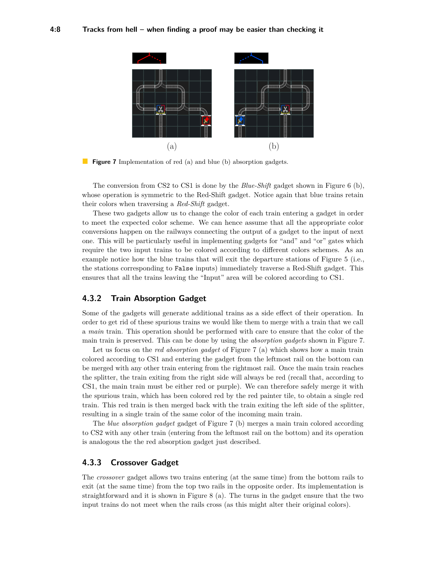<span id="page-7-0"></span>

**Figure 7** Implementation of red (a) and blue (b) absorption gadgets.

The conversion from CS2 to CS1 is done by the *Blue-Shift* gadget shown in Figure [6](#page-6-1) (b), whose operation is symmetric to the Red-Shift gadget. Notice again that blue trains retain their colors when traversing a *Red-Shift* gadget.

These two gadgets allow us to change the color of each train entering a gadget in order to meet the expected color scheme. We can hence assume that all the appropriate color conversions happen on the railways connecting the output of a gadget to the input of next one. This will be particularly useful in implementing gadgets for "and" and "or" gates which require the two input trains to be colored according to different colors schemes. As an example notice how the blue trains that will exit the departure stations of Figure [5](#page-5-0) (i.e., the stations corresponding to False inputs) immediately traverse a Red-Shift gadget. This ensures that all the trains leaving the "Input" area will be colored according to CS1.

#### **4.3.2 Train Absorption Gadget**

Some of the gadgets will generate additional trains as a side effect of their operation. In order to get rid of these spurious trains we would like them to merge with a train that we call a *main* train. This operation should be performed with care to ensure that the color of the main train is preserved. This can be done by using the *absorption gadgets* shown in Figure [7.](#page-7-0)

Let us focus on the *red absorption gadget* of Figure [7](#page-7-0) (a) which shows how a main train colored according to CS1 and entering the gadget from the leftmost rail on the bottom can be merged with any other train entering from the rightmost rail. Once the main train reaches the splitter, the train exiting from the right side will always be red (recall that, according to CS1, the main train must be either red or purple). We can therefore safely merge it with the spurious train, which has been colored red by the red painter tile, to obtain a single red train. This red train is then merged back with the train exiting the left side of the splitter, resulting in a single train of the same color of the incoming main train.

The *blue absorption gadget* gadget of Figure [7](#page-7-0) (b) merges a main train colored according to CS2 with any other train (entering from the leftmost rail on the bottom) and its operation is analogous the the red absorption gadget just described.

#### **4.3.3 Crossover Gadget**

The *crossover* gadget allows two trains entering (at the same time) from the bottom rails to exit (at the same time) from the top two rails in the opposite order. Its implementation is straightforward and it is shown in Figure [8](#page-8-0) (a). The turns in the gadget ensure that the two input trains do not meet when the rails cross (as this might alter their original colors).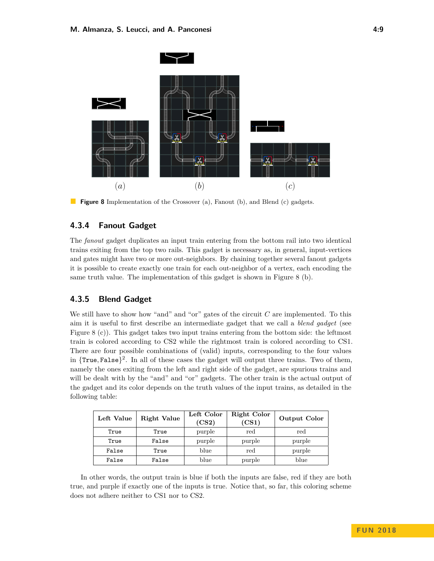<span id="page-8-0"></span>

**Figure 8** Implementation of the Crossover (a), Fanout (b), and Blend (c) gadgets.

# **4.3.4 Fanout Gadget**

The *fanout* gadget duplicates an input train entering from the bottom rail into two identical trains exiting from the top two rails. This gadget is necessary as, in general, input-vertices and gates might have two or more out-neighbors. By chaining together several fanout gadgets it is possible to create exactly one train for each out-neighbor of a vertex, each encoding the same truth value. The implementation of this gadget is shown in Figure [8](#page-8-0) (b).

#### **4.3.5 Blend Gadget**

We still have to show how "and" and "or" gates of the circuit *C* are implemented. To this aim it is useful to first describe an intermediate gadget that we call a *blend gadget* (see Figure [8](#page-8-0) (c)). This gadget takes two input trains entering from the bottom side: the leftmost train is colored according to CS2 while the rightmost train is colored according to CS1. There are four possible combinations of (valid) inputs, corresponding to the four values in {True*,* False} 2 . In all of these cases the gadget will output three trains. Two of them, namely the ones exiting from the left and right side of the gadget, are spurious trains and will be dealt with by the "and" and "or" gadgets. The other train is the actual output of the gadget and its color depends on the truth values of the input trains, as detailed in the following table:

| Left Value | <b>Right Value</b> | Left Color<br>(CS2) | Right Color<br>(CS1) | <b>Output Color</b> |
|------------|--------------------|---------------------|----------------------|---------------------|
| True       | True               | purple              | red                  | red                 |
| True       | False              | purple              | purple               | purple              |
| False      | True               | blue                | red                  | purple              |
| False      | False              | blue                | purple               | blue                |

In other words, the output train is blue if both the inputs are false, red if they are both true, and purple if exactly one of the inputs is true. Notice that, so far, this coloring scheme does not adhere neither to CS1 nor to CS2.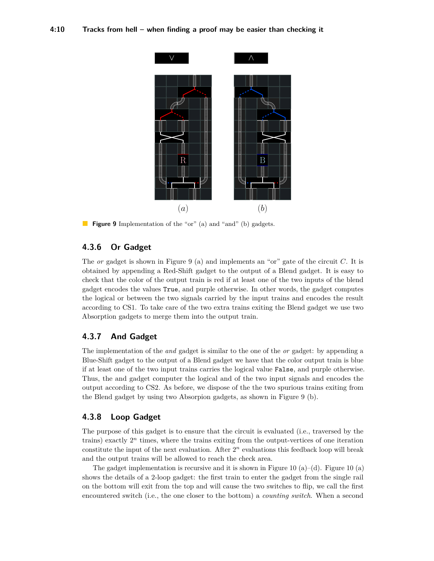<span id="page-9-0"></span>

**Figure 9** Implementation of the "or" (a) and "and" (b) gadgets.

# **4.3.6 Or Gadget**

The *or* gadget is shown in Figure [9](#page-9-0) (a) and implements an "or" gate of the circuit *C*. It is obtained by appending a Red-Shift gadget to the output of a Blend gadget. It is easy to check that the color of the output train is red if at least one of the two inputs of the blend gadget encodes the values True, and purple otherwise. In other words, the gadget computes the logical or between the two signals carried by the input trains and encodes the result according to CS1. To take care of the two extra trains exiting the Blend gadget we use two Absorption gadgets to merge them into the output train.

#### **4.3.7 And Gadget**

The implementation of the *and* gadget is similar to the one of the *or* gadget: by appending a Blue-Shift gadget to the output of a Blend gadget we have that the color output train is blue if at least one of the two input trains carries the logical value False, and purple otherwise. Thus, the and gadget computer the logical and of the two input signals and encodes the output according to CS2. As before, we dispose of the the two spurious trains exiting from the Blend gadget by using two Absorpion gadgets, as shown in Figure [9](#page-9-0) (b).

#### **4.3.8 Loop Gadget**

The purpose of this gadget is to ensure that the circuit is evaluated (i.e., traversed by the trains) exactly  $2^n$  times, where the trains exiting from the output-vertices of one iteration constitute the input of the next evaluation. After  $2^n$  evaluations this feedback loop will break and the output trains will be allowed to reach the check area.

The gadget implementation is recursive and it is shown in Figure [10](#page-10-0) (a)–(d). Figure 10 (a) shows the details of a 2-loop gadget: the first train to enter the gadget from the single rail on the bottom will exit from the top and will cause the two switches to flip, we call the first encountered switch (i.e., the one closer to the bottom) a *counting switch*. When a second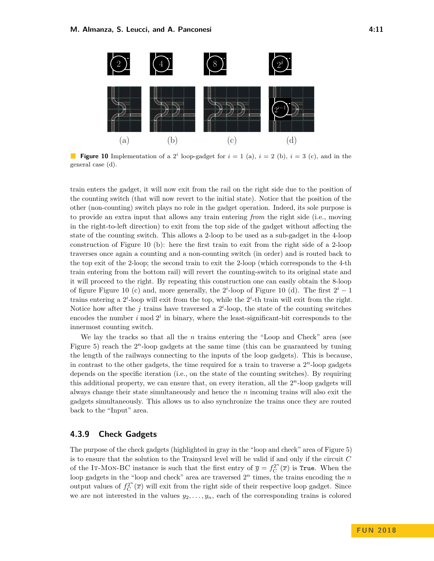<span id="page-10-0"></span>

**Figure 10** Implementation of a 2<sup>*i*</sup> loop-gadget for  $i = 1$  (a),  $i = 2$  (b),  $i = 3$  (c), and in the general case (d).

train enters the gadget, it will now exit from the rail on the right side due to the position of the counting switch (that will now revert to the initial state). Notice that the position of the other (non-counting) switch plays no role in the gadget operation. Indeed, its sole purpose is to provide an extra input that allows any train entering *from* the right side (i.e., moving in the right-to-left direction) to exit from the top side of the gadget without affecting the state of the counting switch. This allows a 2-loop to be used as a sub-gadget in the 4-loop construction of Figure [10](#page-10-0) (b): here the first train to exit from the right side of a 2-loop traverses once again a counting and a non-counting switch (in order) and is routed back to the top exit of the 2-loop; the second train to exit the 2-loop (which corresponds to the 4-th train entering from the bottom rail) will revert the counting-switch to its original state and it will proceed to the right. By repeating this construction one can easily obtain the 8-loop of figure Figure [10](#page-10-0) (c) and, more generally, the  $2^{i}$ -loop of Figure 10 (d). The first  $2^{i} - 1$ trains entering a  $2^i$ -loop will exit from the top, while the  $2^i$ -th train will exit from the right. Notice how after the  $j$  trains have traversed a  $2^i$ -loop, the state of the counting switches encodes the number  $i \mod 2^i$  in binary, where the least-significant-bit corresponds to the innermost counting switch.

We lay the tracks so that all the *n* trains entering the "Loop and Check" area (see Figure [5\)](#page-5-0) reach the  $2^n$ -loop gadgets at the same time (this can be guaranteed by tuning the length of the railways connecting to the inputs of the loop gadgets). This is because, in contrast to the other gadgets, the time required for a train to traverse a  $2<sup>n</sup>$ -loop gadgets depends on the specific iteration (i.e., on the state of the counting switches). By requiring this additional property, we can ensure that, on every iteration, all the 2 *<sup>n</sup>*-loop gadgets will always change their state simultaneously and hence the *n* incoming trains will also exit the gadgets simultaneously. This allows us to also synchronize the trains once they are routed back to the "Input" area.

#### **4.3.9 Check Gadgets**

The purpose of the check gadgets (highlighted in gray in the "loop and check" area of Figure [5\)](#page-5-0) is to ensure that the solution to the Trainyard level will be valid if and only if the circuit *C* of the IT-MON-BC instance is such that the first entry of  $\overline{y} = f_C^{2^n}(\overline{x})$  is True. When the loop gadgets in the "loop and check" area are traversed  $2<sup>n</sup>$  times, the trains encoding the  $n$ output values of  $f_C^{2^n}(\overline{x})$  will exit from the right side of their respective loop gadget. Since we are not interested in the values  $y_2, \ldots, y_n$ , each of the corresponding trains is colored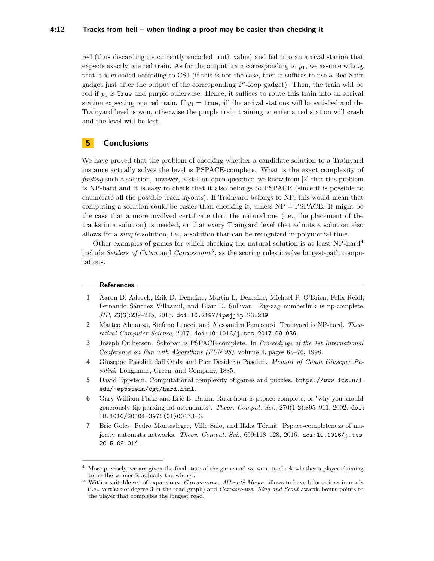#### **4:12 Tracks from hell – when finding a proof may be easier than checking it**

red (thus discarding its currently encoded truth value) and fed into an arrival station that expects exactly one red train. As for the output train corresponding to *y*1, we assume w.l.o.g. that it is encoded according to CS1 (if this is not the case, then it suffices to use a Red-Shift gadget just after the output of the corresponding 2 *<sup>n</sup>*-loop gadget). Then, the train will be red if *y*<sup>1</sup> is True and purple otherwise. Hence, it suffices to route this train into an arrival station expecting one red train. If  $y_1$  = True, all the arrival stations will be satisfied and the Trainyard level is won, otherwise the purple train training to enter a red station will crash and the level will be lost.

# **5 Conclusions**

We have proved that the problem of checking whether a candidate solution to a Trainyard instance actually solves the level is PSPACE-complete. What is the exact complexity of *finding* such a solution, however, is still an open question: we know from [\[2\]](#page-11-1) that this problem is NP-hard and it is easy to check that it also belongs to PSPACE (since it is possible to enumerate all the possible track layouts). If Trainyard belongs to NP, this would mean that computing a solution could be easier than checking it, unless  $NP = PSPACE$ . It might be the case that a more involved certificate than the natural one (i.e., the placement of the tracks in a solution) is needed, or that every Trainyard level that admits a solution also allows for a *simple* solution, i.e., a solution that can be recognized in polynomial time.

Other examples of games for which checking the natural solution is at least NP-hard[4](#page-11-7) include *Settlers of Catan* and *Carcassonne*[5](#page-11-8) , as the scoring rules involve longest-path computations.

#### **References**

- <span id="page-11-2"></span>**1** Aaron B. Adcock, Erik D. Demaine, Martin L. Demaine, Michael P. O'Brien, Felix Reidl, Fernando Sánchez Villaamil, and Blair D. Sullivan. Zig-zag numberlink is np-complete. *JIP*, 23(3):239–245, 2015. [doi:10.2197/ipsjjip.23.239](http://dx.doi.org/10.2197/ipsjjip.23.239).
- <span id="page-11-1"></span>**2** Matteo Almanza, Stefano Leucci, and Alessandro Panconesi. Trainyard is NP-hard. *Theoretical Computer Science*, 2017. [doi:10.1016/j.tcs.2017.09.039](http://dx.doi.org/10.1016/j.tcs.2017.09.039).
- <span id="page-11-3"></span>**3** Joseph Culberson. Sokoban is PSPACE-complete. In *Proceedings of the 1st International Conference on Fun with Algorithms (FUN'98)*, volume 4, pages 65–76, 1998.
- <span id="page-11-0"></span>**4** Giuseppe Pasolini dall'Onda and Pier Desiderio Pasolini. *Memoir of Count Giuseppe Pasolini*. Longmans, Green, and Company, 1885.
- <span id="page-11-5"></span>**5** David Eppstein. Computational complexity of games and puzzles. [https://www.ics.uci.](https://www.ics.uci.edu/~eppstein/cgt/hard.html) [edu/~eppstein/cgt/hard.html](https://www.ics.uci.edu/~eppstein/cgt/hard.html).
- <span id="page-11-4"></span>**6** Gary William Flake and Eric B. Baum. Rush hour is pspace-complete, or "why you should generously tip parking lot attendants". *Theor. Comput. Sci.*, 270(1-2):895–911, 2002. [doi:](http://dx.doi.org/10.1016/S0304-3975(01)00173-6) [10.1016/S0304-3975\(01\)00173-6](http://dx.doi.org/10.1016/S0304-3975(01)00173-6).
- <span id="page-11-6"></span>**7** Eric Goles, Pedro Montealegre, Ville Salo, and Ilkka Törmä. Pspace-completeness of majority automata networks. *Theor. Comput. Sci.*, 609:118-128, 2016. [doi:10.1016/j.tcs.](http://dx.doi.org/10.1016/j.tcs.2015.09.014) [2015.09.014](http://dx.doi.org/10.1016/j.tcs.2015.09.014).

<span id="page-11-7"></span>More precisely, we are given the final state of the game and we want to check whether a player claiming to be the winner is actually the winner.

<span id="page-11-8"></span><sup>5</sup> With a suitable set of expansions: *Carcassonne: Abbey & Mayor* allows to have biforcations in roads (i.e., vertices of degree 3 in the road graph) and *Carcassonne: King and Scout* awards bonus points to the player that completes the longest road.